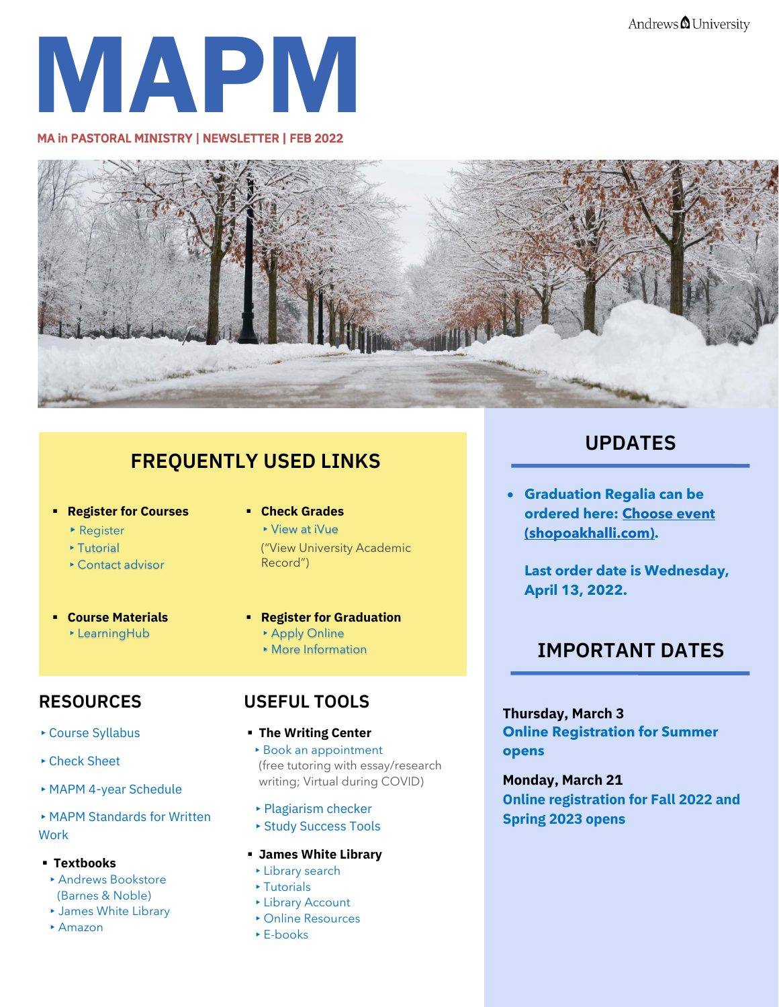Andrews **O** University



MA in PASTORAL MINISTRY | NEWSLETTER | FEB 2022



## **FREQUENTLY USED LINKS**

- **Register for Courses**
	- ▶ Register
	- ▸[Tutorial](https://www.andrews.edu/sem/inministry/uploads/how-to-register-online.pdf)
	- ▸[Contact advisor](https://www.andrews.edu/sem/inministry/contact/index.html)
- **Course Materials**
	- ▸[LearningHub](https://learninghub.andrews.edu/)

### **RESOURCES**

- ▸[Course Syllabus](https://www.andrews.edu/sem/inministry/schedule/index.html)
- ▸[Check Sheet](https://www.andrews.edu/sem/inministry/mapmin/mapm-checks-heets/index.html)
- ▸[MAPM 4-year Schedule](https://www.andrews.edu/sem/inministry/schedule/reservation/4-year-mapm-schedule.pdf)

▸[MAPM Standards for Written](https://www.andrews.edu/sem/inministry/uploads/mapm-standards-rev3-final--mapm-edition-.pdf)  **[Work](https://www.andrews.edu/sem/inministry/uploads/mapm-standards-rev3-final--mapm-edition-.pdf)** 

- **Textbooks**
- ▸[Andrews Bookstore](https://andrews.bncollege.com/shop/andrews/page/find-textbooks)  [\(Barnes & Noble\)](https://andrews.bncollege.com/shop/andrews/page/find-textbooks)
- ▸[James White Library](https://www.andrews.edu/services/library/)
- ▸[Amazon](https://www.amazon.com/)

### ▪ **Check Grades**

▸[View at iVue](https://vault.andrews.edu/vault/app/secure/fs/determine_role)  ("View University Academic Record")

#### ▪ **Register for Graduation**

- ▸[Apply Online](https://forms.logiforms.com/formdata/user_forms/66125_302498/321133/page1.html?cachebust=3459)
- ▸[More Information](https://www.andrews.edu/sem/inministry/mapmin/graduation/index.html)

### **USEFUL TOOLS**

- **The Writing Center** [▸](https://www.andrews.edu/cas/english/resources/writing_center.html)[Book an appointment](https://www.andrews.edu/cas/english/resources/writing_center.html) (free tutoring with essay/research writing; Virtual during COVID)
- [▸](https://plagiarismdetector.net/)[Plagiarism checker](https://plagiarismdetector.net/)
- [▸](https://www.andrews.edu/distance/students/orient-success/student-success.html)[Study Success Tools](https://www.andrews.edu/distance/students/orient-success/student-success.html)

#### ▪ **James White Library**

- ▸[Library search](https://www.andrews.edu/services/library/)
- ▸[Tutorials](https://www.andrews.edu/services/library/1_research/tutorials.html)
- ▸[Library Account](https://jewel.andrews.edu/patroninfo/)
- ▸[Online Resources](http://ug3lf7jn4y.search.serialssolutions.com/ejp/?libHash=UG3LF7JN4Y#/?language=en-US&titleType=ALL)
- ▸[E-books](https://libguides.andrews.edu/c.php?g=493744)

## **UPDATES**

• **Graduation Regalia can be ordered here: [Choose event](https://andrews.shopoakhalli.com/purchasewizard/SelectEvent)  [\(shopoakhalli.com\).](https://andrews.shopoakhalli.com/purchasewizard/SelectEvent)**

**Last order date is Wednesday, April 13, 2022.**

## **IMPORTANT DATES**

**Thursday, March 3 Online Registration for Summer opens**

**Monday, March 21 Online registration for Fall 2022 and Spring 2023 opens**